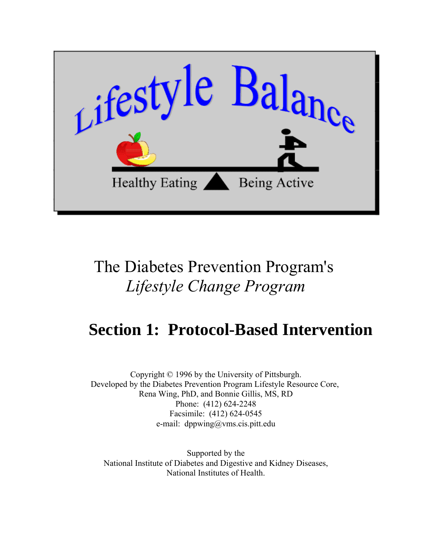

## The Diabetes Prevention Program's *Lifestyle Change Program*

## **Section 1: Protocol-Based Intervention**

Copyright © 1996 by the University of Pittsburgh. Developed by the Diabetes Prevention Program Lifestyle Resource Core, Rena Wing, PhD, and Bonnie Gillis, MS, RD Phone: (412) 624-2248 Facsimile: (412) 624-0545 e-mail: dppwing@vms.cis.pitt.edu

Supported by the [National Institute of Diabetes and Digestive and Kidney Diseases,](http://www.niddk.nih.gov) [National Institutes of Health.](http://www.nih.gov)